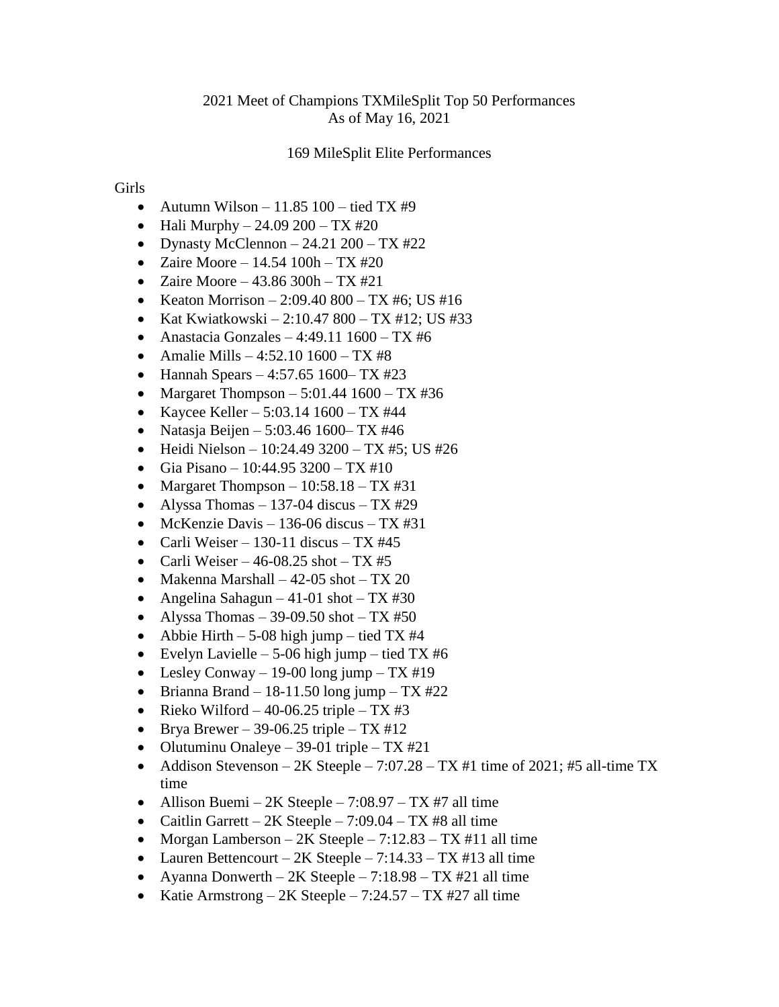## 169 MileSplit Elite Performances

## Girls

- Autumn Wilson 11.85  $100 \text{tied TX #9}$
- Hali Murphy 24.09 200 TX #20
- Dynasty McClennon  $-24.21\,200 TX\,#22$
- Zaire Moore 14.54  $100h TX #20$
- Zaire Moore  $43.86$  300h TX #21
- Keaton Morrison 2:09.40 800 TX #6; US #16
- Kat Kwiatkowski 2:10.47 800 TX #12; US #33
- Anastacia Gonzales 4:49.11  $1600 TX$ #6
- Amalie Mills 4:52.10  $1600 TX \#8$
- Hannah Spears 4:57.65 1600– TX #23
- Margaret Thompson  $5:01.44$  1600 TX #36
- Kaycee Keller 5:03.14  $1600 TX$ #44
- Natasja Beijen 5:03.46 1600 TX #46
- $\bullet$  Heidi Nielson 10:24.49 3200 TX #5; US #26
- Gia Pisano 10:44.95 3200 TX #10
- Margaret Thompson  $-10:58.18 TX \text{#31}$
- Alyssa Thomas 137-04 discus TX  $#29$
- McKenzie Davis 136-06 discus TX #31
- Carli Weiser 130-11 discus TX #45
- Carli Weiser 46-08.25 shot TX #5
- Makenna Marshall 42-05 shot TX 20
- Angelina Sahagun 41-01 shot TX #30
- Alyssa Thomas 39-09.50 shot TX #50
- Abbie Hirth 5-08 high jump tied TX #4
- Evelyn Lavielle 5-06 high jump tied TX #6
- Lesley Conway 19-00 long jump  $TX #19$
- $\bullet$  Brianna Brand 18-11.50 long jump TX #22
- Rieko Wilford 40-06.25 triple TX #3
- $\bullet$  Brya Brewer 39-06.25 triple TX #12
- Olutuminu Onaleye 39-01 triple  $TX \#21$
- Addison Stevenson 2K Steeple 7:07.28 TX #1 time of 2021; #5 all-time TX time
- Allison Buemi 2K Steeple 7:08.97 TX #7 all time
- Caitlin Garrett  $2K$  Steeple  $7:09.04$  TX #8 all time
- Morgan Lamberson  $2K$  Steeple  $7:12.83$  TX #11 all time
- Lauren Bettencourt  $2K$  Steeple  $7:14.33 TX \# 13$  all time
- Ayanna Donwerth  $2K$  Steeple  $7:18.98$  TX #21 all time
- Katie Armstrong 2K Steeple 7:24.57 TX #27 all time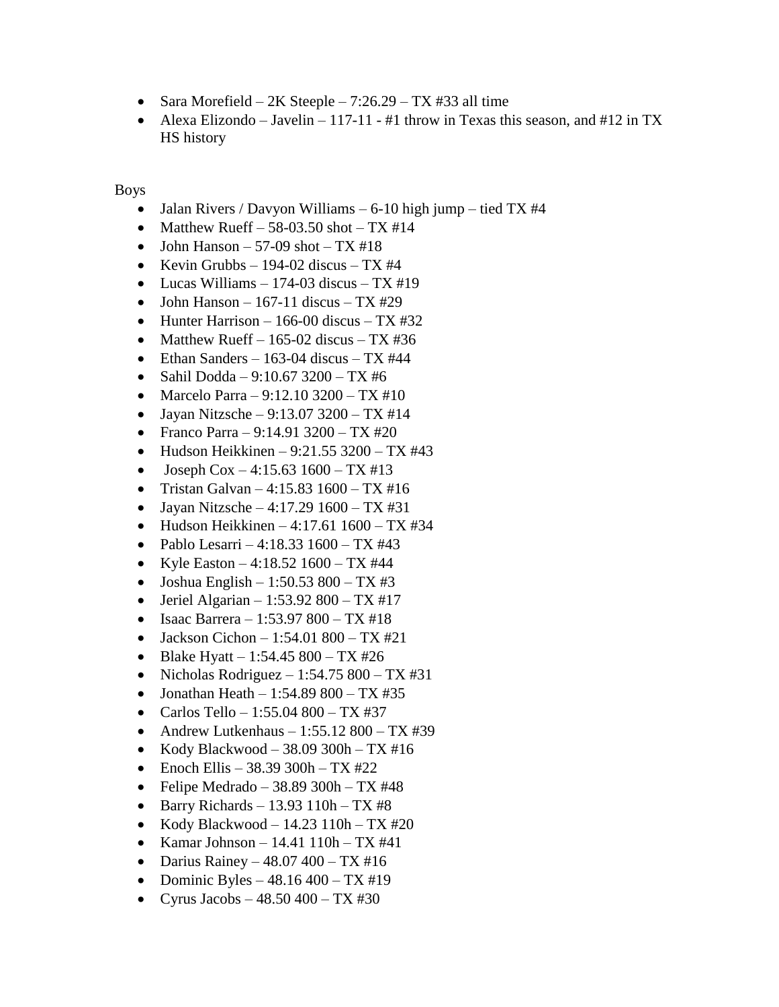- Sara Morefield 2K Steeple  $7:26.29$  TX #33 all time
- Alexa Elizondo Javelin 117-11 #1 throw in Texas this season, and #12 in TX HS history

Boys

- Jalan Rivers / Davyon Williams 6-10 high jump tied TX  $#4$
- Matthew Rueff 58-03.50 shot TX  $\#14$
- John Hanson 57-09 shot  $TX \#18$
- Kevin Grubbs 194-02 discus TX #4
- Lucas Williams 174-03 discus  $TX #19$
- $\bullet$  John Hanson 167-11 discus TX #29
- Hunter Harrison 166-00 discus TX #32
- Matthew Rueff 165-02 discus TX #36
- Ethan Sanders 163-04 discus TX  $#44$
- Sahil Dodda  $9:10.67$  3200 TX #6
- Marcelo Parra 9:12.10 3200 TX #10
- Jayan Nitzsche 9:13.07 3200 TX #14
- Franco Parra 9:14.91 3200 TX #20
- $\bullet$  Hudson Heikkinen 9:21.55 3200 TX #43
- $\bullet$  Joseph Cox  $-4:15.63$  1600  $-$  TX #13
- Tristan Galvan 4:15.83  $1600 TX #16$
- Jayan Nitzsche 4:17.29  $1600 TX \text{#31}$
- Hudson Heikkinen 4:17.61  $1600 TX$ #34
- Pablo Lesarri 4:18.33  $1600 TX \#43$
- Kyle Easton 4:18.52  $1600 TX$ #44
- Joshua English 1:50.53 800 TX #3
- Jeriel Algarian 1:53.92 800 TX #17
- Isaac Barrera 1:53.97 800 TX #18
- $\bullet$  Jackson Cichon 1:54.01 800 TX #21
- Blake Hyatt 1:54.45 800 TX #26
- Nicholas Rodriguez 1:54.75 800 TX #31
- Jonathan Heath 1:54.89 800 TX #35
- Carlos Tello 1:55.04 800 TX #37
- Andrew Lutkenhaus  $1:55.12\,800 TX\,#39$
- Kody Blackwood 38.09 300h TX #16
- Enoch Ellis 38.39 300h TX #22
- Felipe Medrado 38.89 300h TX #48
- $\bullet$  Barry Richards 13.93 110h TX #8
- Kody Blackwood 14.23  $110h TX #20$
- Kamar Johnson 14.41  $110h TX$ #41
- Darius Rainey  $48.07,400 TX, #16$
- Dominic Byles  $48.16\,400 TX\,\text{\#}19$
- Cyrus Jacobs  $48.50\,400 TX\,\text{\#}30$